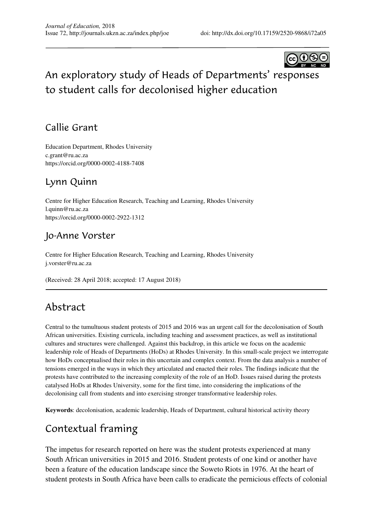

# An exploratory study of Heads of Departments' responses to student calls for decolonised higher education

### Callie Grant

Education Department, Rhodes University c.grant@ru.ac.za https://orcid.org/0000-0002-4188-7408

### Lynn Quinn

Centre for Higher Education Research, Teaching and Learning, Rhodes University l.quinn@ru.ac.za https://orcid.org/0000-0002-2922-1312

### Jo-Anne Vorster

Centre for Higher Education Research, Teaching and Learning, Rhodes University j.vorster@ru.ac.za

(Received: 28 April 2018; accepted: 17 August 2018)

## Abstract

Central to the tumultuous student protests of 2015 and 2016 was an urgent call for the decolonisation of South African universities. Existing curricula, including teaching and assessment practices, as well as institutional cultures and structures were challenged. Against this backdrop, in this article we focus on the academic leadership role of Heads of Departments (HoDs) at Rhodes University. In this small-scale project we interrogate how HoDs conceptualised their roles in this uncertain and complex context. From the data analysis a number of tensions emerged in the ways in which they articulated and enacted their roles. The findings indicate that the protests have contributed to the increasing complexity of the role of an HoD. Issues raised during the protests catalysed HoDs at Rhodes University, some for the first time, into considering the implications of the decolonising call from students and into exercising stronger transformative leadership roles.

**Keywords**: decolonisation, academic leadership, Heads of Department, cultural historical activity theory

## Contextual framing

The impetus for research reported on here was the student protests experienced at many South African universities in 2015 and 2016. Student protests of one kind or another have been a feature of the education landscape since the Soweto Riots in 1976. At the heart of student protests in South Africa have been calls to eradicate the pernicious effects of colonial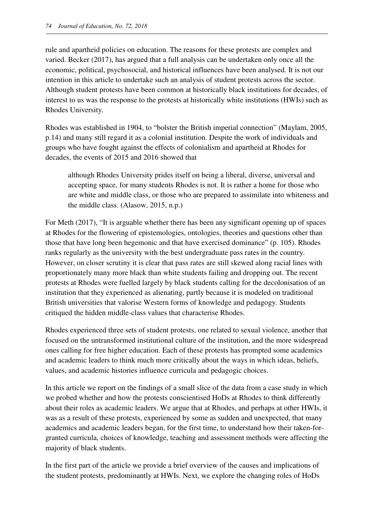rule and apartheid policies on education. The reasons for these protests are complex and varied. Becker (2017), has argued that a full analysis can be undertaken only once all the economic, political, psychosocial, and historical influences have been analysed. It is not our intention in this article to undertake such an analysis of student protests across the sector. Although student protests have been common at historically black institutions for decades, of interest to us was the response to the protests at historically white institutions (HWIs) such as Rhodes University.

Rhodes was established in 1904, to "bolster the British imperial connection" (Maylam, 2005, p.14) and many still regard it as a colonial institution. Despite the work of individuals and groups who have fought against the effects of colonialism and apartheid at Rhodes for decades, the events of 2015 and 2016 showed that

although Rhodes University prides itself on being a liberal, diverse, universal and accepting space, for many students Rhodes is not. It is rather a home for those who are white and middle class, or those who are prepared to assimilate into whiteness and the middle class. (Alasow, 2015, n.p.)

For Meth (2017), "It is arguable whether there has been any significant opening up of spaces at Rhodes for the flowering of epistemologies, ontologies, theories and questions other than those that have long been hegemonic and that have exercised dominance" (p. 105). Rhodes ranks regularly as the university with the best undergraduate pass rates in the country. However, on closer scrutiny it is clear that pass rates are still skewed along racial lines with proportionately many more black than white students failing and dropping out. The recent protests at Rhodes were fuelled largely by black students calling for the decolonisation of an institution that they experienced as alienating, partly because it is modeled on traditional British universities that valorise Western forms of knowledge and pedagogy. Students critiqued the hidden middle-class values that characterise Rhodes.

Rhodes experienced three sets of student protests, one related to sexual violence, another that focused on the untransformed institutional culture of the institution, and the more widespread ones calling for free higher education. Each of these protests has prompted some academics and academic leaders to think much more critically about the ways in which ideas, beliefs, values, and academic histories influence curricula and pedagogic choices.

In this article we report on the findings of a small slice of the data from a case study in which we probed whether and how the protests conscientised HoDs at Rhodes to think differently about their roles as academic leaders. We argue that at Rhodes, and perhaps at other HWIs, it was as a result of these protests, experienced by some as sudden and unexpected, that many academics and academic leaders began, for the first time, to understand how their taken-forgranted curricula, choices of knowledge, teaching and assessment methods were affecting the majority of black students.

In the first part of the article we provide a brief overview of the causes and implications of the student protests, predominantly at HWIs. Next, we explore the changing roles of HoDs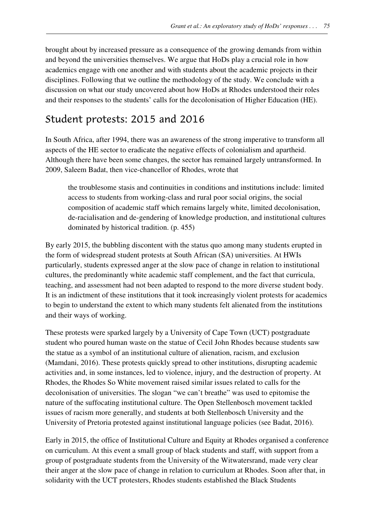brought about by increased pressure as a consequence of the growing demands from within and beyond the universities themselves. We argue that HoDs play a crucial role in how academics engage with one another and with students about the academic projects in their disciplines. Following that we outline the methodology of the study. We conclude with a discussion on what our study uncovered about how HoDs at Rhodes understood their roles and their responses to the students' calls for the decolonisation of Higher Education (HE).

### Student protests: 2015 and 2016

In South Africa, after 1994, there was an awareness of the strong imperative to transform all aspects of the HE sector to eradicate the negative effects of colonialism and apartheid. Although there have been some changes, the sector has remained largely untransformed. In 2009, Saleem Badat, then vice-chancellor of Rhodes, wrote that

the troublesome stasis and continuities in conditions and institutions include: limited access to students from working-class and rural poor social origins, the social composition of academic staff which remains largely white, limited decolonisation, de-racialisation and de-gendering of knowledge production, and institutional cultures dominated by historical tradition. (p. 455)

By early 2015, the bubbling discontent with the status quo among many students erupted in the form of widespread student protests at South African (SA) universities. At HWIs particularly, students expressed anger at the slow pace of change in relation to institutional cultures, the predominantly white academic staff complement, and the fact that curricula, teaching, and assessment had not been adapted to respond to the more diverse student body. It is an indictment of these institutions that it took increasingly violent protests for academics to begin to understand the extent to which many students felt alienated from the institutions and their ways of working.

These protests were sparked largely by a University of Cape Town (UCT) postgraduate student who poured human waste on the statue of Cecil John Rhodes because students saw the statue as a symbol of an institutional culture of alienation, racism, and exclusion (Mamdani, 2016). These protests quickly spread to other institutions, disrupting academic activities and, in some instances, led to violence, injury, and the destruction of property. At Rhodes, the Rhodes So White movement raised similar issues related to calls for the decolonisation of universities. The slogan "we can't breathe" was used to epitomise the nature of the suffocating institutional culture. The Open Stellenbosch movement tackled issues of racism more generally, and students at both Stellenbosch University and the University of Pretoria protested against institutional language policies (see Badat, 2016).

Early in 2015, the office of Institutional Culture and Equity at Rhodes organised a conference on curriculum. At this event a small group of black students and staff, with support from a group of postgraduate students from the University of the Witwatersrand, made very clear their anger at the slow pace of change in relation to curriculum at Rhodes. Soon after that, in solidarity with the UCT protesters, Rhodes students established the Black Students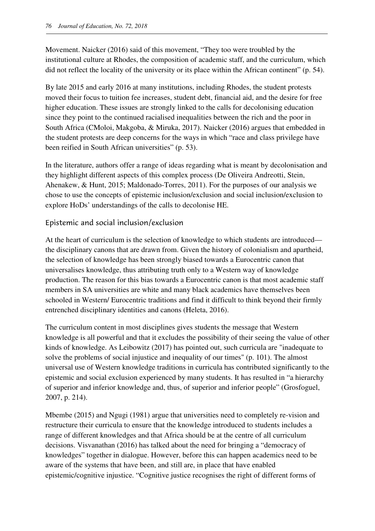Movement. Naicker (2016) said of this movement, "They too were troubled by the institutional culture at Rhodes, the composition of academic staff, and the curriculum, which did not reflect the locality of the university or its place within the African continent" (p. 54).

By late 2015 and early 2016 at many institutions, including Rhodes, the student protests moved their focus to tuition fee increases, student debt, financial aid, and the desire for free higher education. These issues are strongly linked to the calls for decolonising education since they point to the continued racialised inequalities between the rich and the poor in South Africa (CMoloi, Makgoba, & Miruka, 2017). Naicker (2016) argues that embedded in the student protests are deep concerns for the ways in which "race and class privilege have been reified in South African universities" (p. 53).

In the literature, authors offer a range of ideas regarding what is meant by decolonisation and they highlight different aspects of this complex process (De Oliveira Andreotti, Stein, Ahenakew, & Hunt, 2015; Maldonado-Torres, 2011). For the purposes of our analysis we chose to use the concepts of epistemic inclusion/exclusion and social inclusion/exclusion to explore HoDs' understandings of the calls to decolonise HE.

#### Epistemic and social inclusion/exclusion

At the heart of curriculum is the selection of knowledge to which students are introduced the disciplinary canons that are drawn from. Given the history of colonialism and apartheid, the selection of knowledge has been strongly biased towards a Eurocentric canon that universalises knowledge, thus attributing truth only to a Western way of knowledge production. The reason for this bias towards a Eurocentric canon is that most academic staff members in SA universities are white and many black academics have themselves been schooled in Western/ Eurocentric traditions and find it difficult to think beyond their firmly entrenched disciplinary identities and canons (Heleta, 2016).

The curriculum content in most disciplines gives students the message that Western knowledge is all powerful and that it excludes the possibility of their seeing the value of other kinds of knowledge. As Leibowitz (2017) has pointed out, such curricula are "inadequate to solve the problems of social injustice and inequality of our times" (p. 101). The almost universal use of Western knowledge traditions in curricula has contributed significantly to the epistemic and social exclusion experienced by many students. It has resulted in "a hierarchy of superior and inferior knowledge and, thus, of superior and inferior people" (Grosfoguel, 2007, p. 214).

Mbembe (2015) and Ngugi (1981) argue that universities need to completely re-vision and restructure their curricula to ensure that the knowledge introduced to students includes a range of different knowledges and that Africa should be at the centre of all curriculum decisions. Visvanathan (2016) has talked about the need for bringing a "democracy of knowledges" together in dialogue. However, before this can happen academics need to be aware of the systems that have been, and still are, in place that have enabled epistemic/cognitive injustice. "Cognitive justice recognises the right of different forms of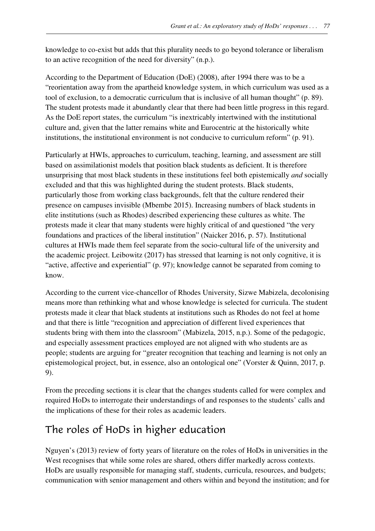knowledge to co-exist but adds that this plurality needs to go beyond tolerance or liberalism to an active recognition of the need for diversity" (n.p.).

According to the Department of Education (DoE) (2008), after 1994 there was to be a "reorientation away from the apartheid knowledge system, in which curriculum was used as a tool of exclusion, to a democratic curriculum that is inclusive of all human thought" (p. 89). The student protests made it abundantly clear that there had been little progress in this regard. As the DoE report states, the curriculum "is inextricably intertwined with the institutional culture and, given that the latter remains white and Eurocentric at the historically white institutions, the institutional environment is not conducive to curriculum reform" (p. 91).

Particularly at HWIs, approaches to curriculum, teaching, learning, and assessment are still based on assimilationist models that position black students as deficient. It is therefore unsurprising that most black students in these institutions feel both epistemically *and* socially excluded and that this was highlighted during the student protests. Black students, particularly those from working class backgrounds, felt that the culture rendered their presence on campuses invisible (Mbembe 2015). Increasing numbers of black students in elite institutions (such as Rhodes) described experiencing these cultures as white. The protests made it clear that many students were highly critical of and questioned "the very foundations and practices of the liberal institution" (Naicker 2016, p. 57). Institutional cultures at HWIs made them feel separate from the socio-cultural life of the university and the academic project. Leibowitz (2017) has stressed that learning is not only cognitive, it is "active, affective and experiential" (p. 97); knowledge cannot be separated from coming to know.

According to the current vice-chancellor of Rhodes University, Sizwe Mabizela, decolonising means more than rethinking what and whose knowledge is selected for curricula. The student protests made it clear that black students at institutions such as Rhodes do not feel at home and that there is little "recognition and appreciation of different lived experiences that students bring with them into the classroom" (Mabizela, 2015, n.p.). Some of the pedagogic, and especially assessment practices employed are not aligned with who students are as people; students are arguing for "greater recognition that teaching and learning is not only an epistemological project, but, in essence, also an ontological one" (Vorster & Quinn, 2017, p. 9).

From the preceding sections it is clear that the changes students called for were complex and required HoDs to interrogate their understandings of and responses to the students' calls and the implications of these for their roles as academic leaders.

## The roles of HoDs in higher education

Nguyen's (2013) review of forty years of literature on the roles of HoDs in universities in the West recognises that while some roles are shared, others differ markedly across contexts. HoDs are usually responsible for managing staff, students, curricula, resources, and budgets; communication with senior management and others within and beyond the institution; and for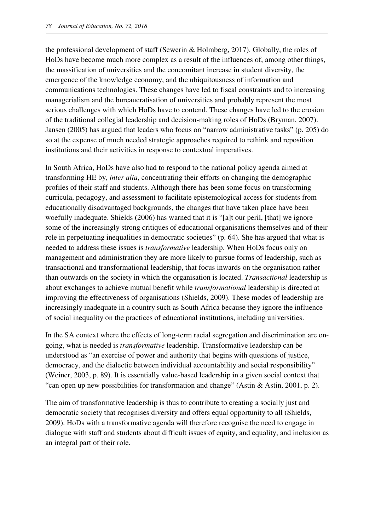the professional development of staff (Sewerin & Holmberg, 2017). Globally, the roles of HoDs have become much more complex as a result of the influences of, among other things, the massification of universities and the concomitant increase in student diversity, the emergence of the knowledge economy, and the ubiquitousness of information and communications technologies. These changes have led to fiscal constraints and to increasing managerialism and the bureaucratisation of universities and probably represent the most serious challenges with which HoDs have to contend. These changes have led to the erosion of the traditional collegial leadership and decision-making roles of HoDs (Bryman, 2007). Jansen (2005) has argued that leaders who focus on "narrow administrative tasks" (p. 205) do so at the expense of much needed strategic approaches required to rethink and reposition institutions and their activities in response to contextual imperatives.

In South Africa, HoDs have also had to respond to the national policy agenda aimed at transforming HE by, *inter alia*, concentrating their efforts on changing the demographic profiles of their staff and students. Although there has been some focus on transforming curricula, pedagogy, and assessment to facilitate epistemological access for students from educationally disadvantaged backgrounds, the changes that have taken place have been woefully inadequate. Shields (2006) has warned that it is "[a]t our peril, [that] we ignore some of the increasingly strong critiques of educational organisations themselves and of their role in perpetuating inequalities in democratic societies" (p. 64). She has argued that what is needed to address these issues is *transformative* leadership. When HoDs focus only on management and administration they are more likely to pursue forms of leadership, such as transactional and transformational leadership, that focus inwards on the organisation rather than outwards on the society in which the organisation is located. *Transactional* leadership is about exchanges to achieve mutual benefit while *transformational* leadership is directed at improving the effectiveness of organisations (Shields, 2009). These modes of leadership are increasingly inadequate in a country such as South Africa because they ignore the influence of social inequality on the practices of educational institutions, including universities.

In the SA context where the effects of long-term racial segregation and discrimination are ongoing, what is needed is *transformative* leadership. Transformative leadership can be understood as "an exercise of power and authority that begins with questions of justice, democracy, and the dialectic between individual accountability and social responsibility" (Weiner, 2003, p. 89). It is essentially value-based leadership in a given social context that "can open up new possibilities for transformation and change" (Astin & Astin, 2001, p. 2).

The aim of transformative leadership is thus to contribute to creating a socially just and democratic society that recognises diversity and offers equal opportunity to all (Shields, 2009). HoDs with a transformative agenda will therefore recognise the need to engage in dialogue with staff and students about difficult issues of equity, and equality, and inclusion as an integral part of their role.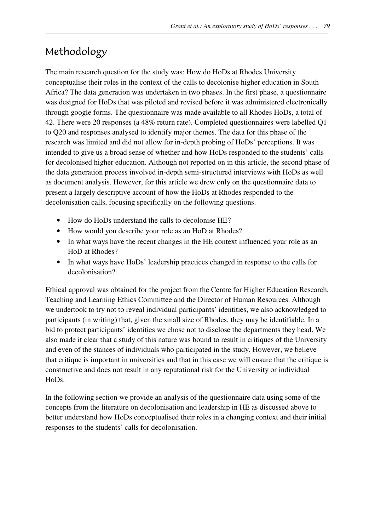## Methodology

The main research question for the study was: How do HoDs at Rhodes University conceptualise their roles in the context of the calls to decolonise higher education in South Africa? The data generation was undertaken in two phases. In the first phase, a questionnaire was designed for HoDs that was piloted and revised before it was administered electronically through google forms. The questionnaire was made available to all Rhodes HoDs, a total of 42. There were 20 responses (a 48% return rate). Completed questionnaires were labelled Q1 to Q20 and responses analysed to identify major themes. The data for this phase of the research was limited and did not allow for in-depth probing of HoDs' perceptions. It was intended to give us a broad sense of whether and how HoDs responded to the students' calls for decolonised higher education. Although not reported on in this article, the second phase of the data generation process involved in-depth semi-structured interviews with HoDs as well as document analysis. However, for this article we drew only on the questionnaire data to present a largely descriptive account of how the HoDs at Rhodes responded to the decolonisation calls, focusing specifically on the following questions.

- How do HoDs understand the calls to decolonise HE?
- How would you describe your role as an HoD at Rhodes?
- In what ways have the recent changes in the HE context influenced your role as an HoD at Rhodes?
- In what ways have HoDs' leadership practices changed in response to the calls for decolonisation?

Ethical approval was obtained for the project from the Centre for Higher Education Research, Teaching and Learning Ethics Committee and the Director of Human Resources. Although we undertook to try not to reveal individual participants' identities, we also acknowledged to participants (in writing) that, given the small size of Rhodes, they may be identifiable. In a bid to protect participants' identities we chose not to disclose the departments they head. We also made it clear that a study of this nature was bound to result in critiques of the University and even of the stances of individuals who participated in the study. However, we believe that critique is important in universities and that in this case we will ensure that the critique is constructive and does not result in any reputational risk for the University or individual HoDs.

In the following section we provide an analysis of the questionnaire data using some of the concepts from the literature on decolonisation and leadership in HE as discussed above to better understand how HoDs conceptualised their roles in a changing context and their initial responses to the students' calls for decolonisation.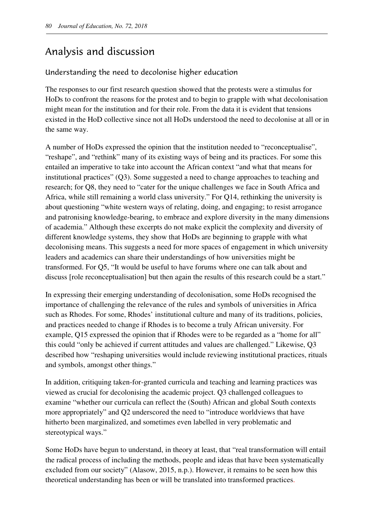## Analysis and discussion

#### Understanding the need to decolonise higher education

The responses to our first research question showed that the protests were a stimulus for HoDs to confront the reasons for the protest and to begin to grapple with what decolonisation might mean for the institution and for their role. From the data it is evident that tensions existed in the HoD collective since not all HoDs understood the need to decolonise at all or in the same way.

A number of HoDs expressed the opinion that the institution needed to "reconceptualise", "reshape", and "rethink" many of its existing ways of being and its practices. For some this entailed an imperative to take into account the African context "and what that means for institutional practices" (Q3). Some suggested a need to change approaches to teaching and research; for Q8, they need to "cater for the unique challenges we face in South Africa and Africa, while still remaining a world class university." For Q14, rethinking the university is about questioning "white western ways of relating, doing, and engaging; to resist arrogance and patronising knowledge-bearing, to embrace and explore diversity in the many dimensions of academia." Although these excerpts do not make explicit the complexity and diversity of different knowledge systems, they show that HoDs are beginning to grapple with what decolonising means. This suggests a need for more spaces of engagement in which university leaders and academics can share their understandings of how universities might be transformed. For Q5, "It would be useful to have forums where one can talk about and discuss [role reconceptualisation] but then again the results of this research could be a start."

In expressing their emerging understanding of decolonisation, some HoDs recognised the importance of challenging the relevance of the rules and symbols of universities in Africa such as Rhodes. For some, Rhodes' institutional culture and many of its traditions, policies, and practices needed to change if Rhodes is to become a truly African university. For example, Q15 expressed the opinion that if Rhodes were to be regarded as a "home for all" this could "only be achieved if current attitudes and values are challenged." Likewise, Q3 described how "reshaping universities would include reviewing institutional practices, rituals and symbols, amongst other things."

In addition, critiquing taken-for-granted curricula and teaching and learning practices was viewed as crucial for decolonising the academic project. Q3 challenged colleagues to examine "whether our curricula can reflect the (South) African and global South contexts more appropriately" and Q2 underscored the need to "introduce worldviews that have hitherto been marginalized, and sometimes even labelled in very problematic and stereotypical ways."

Some HoDs have begun to understand, in theory at least, that "real transformation will entail the radical process of including the methods, people and ideas that have been systematically excluded from our society" (Alasow, 2015, n.p.). However, it remains to be seen how this theoretical understanding has been or will be translated into transformed practices.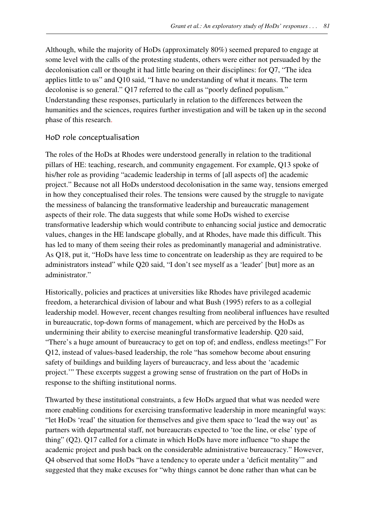Although, while the majority of HoDs (approximately 80%) seemed prepared to engage at some level with the calls of the protesting students, others were either not persuaded by the decolonisation call or thought it had little bearing on their disciplines: for Q7, "The idea applies little to us" and Q10 said, "I have no understanding of what it means. The term decolonise is so general." Q17 referred to the call as "poorly defined populism." Understanding these responses, particularly in relation to the differences between the humanities and the sciences, requires further investigation and will be taken up in the second phase of this research.

#### HoD role conceptualisation

The roles of the HoDs at Rhodes were understood generally in relation to the traditional pillars of HE: teaching, research, and community engagement. For example, Q13 spoke of his/her role as providing "academic leadership in terms of [all aspects of] the academic project." Because not all HoDs understood decolonisation in the same way, tensions emerged in how they conceptualised their roles. The tensions were caused by the struggle to navigate the messiness of balancing the transformative leadership and bureaucratic management aspects of their role. The data suggests that while some HoDs wished to exercise transformative leadership which would contribute to enhancing social justice and democratic values, changes in the HE landscape globally, and at Rhodes, have made this difficult. This has led to many of them seeing their roles as predominantly managerial and administrative. As Q18, put it, "HoDs have less time to concentrate on leadership as they are required to be administrators instead" while Q20 said, "I don't see myself as a 'leader' [but] more as an administrator"

Historically, policies and practices at universities like Rhodes have privileged academic freedom, a heterarchical division of labour and what Bush (1995) refers to as a collegial leadership model. However, recent changes resulting from neoliberal influences have resulted in bureaucratic, top-down forms of management, which are perceived by the HoDs as undermining their ability to exercise meaningful transformative leadership. Q20 said, "There's a huge amount of bureaucracy to get on top of; and endless, endless meetings!" For Q12, instead of values-based leadership, the role "has somehow become about ensuring safety of buildings and building layers of bureaucracy, and less about the 'academic project.'" These excerpts suggest a growing sense of frustration on the part of HoDs in response to the shifting institutional norms.

Thwarted by these institutional constraints, a few HoDs argued that what was needed were more enabling conditions for exercising transformative leadership in more meaningful ways: "let HoDs 'read' the situation for themselves and give them space to 'lead the way out' as partners with departmental staff, not bureaucrats expected to 'toe the line, or else' type of thing" (Q2). Q17 called for a climate in which HoDs have more influence "to shape the academic project and push back on the considerable administrative bureaucracy." However, Q4 observed that some HoDs "have a tendency to operate under a 'deficit mentality'" and suggested that they make excuses for "why things cannot be done rather than what can be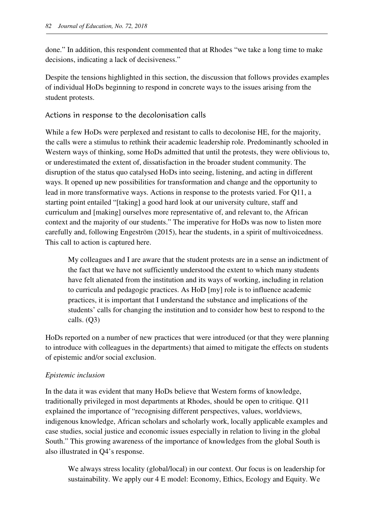done." In addition, this respondent commented that at Rhodes "we take a long time to make decisions, indicating a lack of decisiveness."

Despite the tensions highlighted in this section, the discussion that follows provides examples of individual HoDs beginning to respond in concrete ways to the issues arising from the student protests.

#### Actions in response to the decolonisation calls

While a few HoDs were perplexed and resistant to calls to decolonise HE, for the majority, the calls were a stimulus to rethink their academic leadership role. Predominantly schooled in Western ways of thinking, some HoDs admitted that until the protests, they were oblivious to, or underestimated the extent of, dissatisfaction in the broader student community. The disruption of the status quo catalysed HoDs into seeing, listening, and acting in different ways. It opened up new possibilities for transformation and change and the opportunity to lead in more transformative ways. Actions in response to the protests varied. For Q11, a starting point entailed "[taking] a good hard look at our university culture, staff and curriculum and [making] ourselves more representative of, and relevant to, the African context and the majority of our students." The imperative for HoDs was now to listen more carefully and, following Engeström (2015), hear the students, in a spirit of multivoicedness. This call to action is captured here.

My colleagues and I are aware that the student protests are in a sense an indictment of the fact that we have not sufficiently understood the extent to which many students have felt alienated from the institution and its ways of working, including in relation to curricula and pedagogic practices. As HoD [my] role is to influence academic practices, it is important that I understand the substance and implications of the students' calls for changing the institution and to consider how best to respond to the calls. (Q3)

HoDs reported on a number of new practices that were introduced (or that they were planning to introduce with colleagues in the departments) that aimed to mitigate the effects on students of epistemic and/or social exclusion.

#### *Epistemic inclusion*

In the data it was evident that many HoDs believe that Western forms of knowledge, traditionally privileged in most departments at Rhodes, should be open to critique. Q11 explained the importance of "recognising different perspectives, values, worldviews, indigenous knowledge, African scholars and scholarly work, locally applicable examples and case studies, social justice and economic issues especially in relation to living in the global South." This growing awareness of the importance of knowledges from the global South is also illustrated in Q4's response.

We always stress locality (global/local) in our context. Our focus is on leadership for sustainability. We apply our 4 E model: Economy, Ethics, Ecology and Equity. We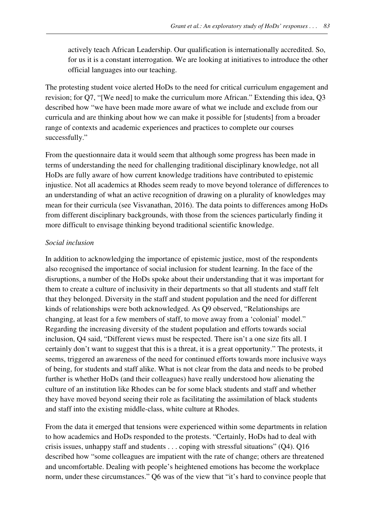actively teach African Leadership. Our qualification is internationally accredited. So, for us it is a constant interrogation. We are looking at initiatives to introduce the other official languages into our teaching.

The protesting student voice alerted HoDs to the need for critical curriculum engagement and revision; for Q7, "[We need] to make the curriculum more African." Extending this idea, Q3 described how "we have been made more aware of what we include and exclude from our curricula and are thinking about how we can make it possible for [students] from a broader range of contexts and academic experiences and practices to complete our courses successfully."

From the questionnaire data it would seem that although some progress has been made in terms of understanding the need for challenging traditional disciplinary knowledge, not all HoDs are fully aware of how current knowledge traditions have contributed to epistemic injustice. Not all academics at Rhodes seem ready to move beyond tolerance of differences to an understanding of what an active recognition of drawing on a plurality of knowledges may mean for their curricula (see Visvanathan, 2016). The data points to differences among HoDs from different disciplinary backgrounds, with those from the sciences particularly finding it more difficult to envisage thinking beyond traditional scientific knowledge.

#### *Social inclusion*

In addition to acknowledging the importance of epistemic justice, most of the respondents also recognised the importance of social inclusion for student learning. In the face of the disruptions, a number of the HoDs spoke about their understanding that it was important for them to create a culture of inclusivity in their departments so that all students and staff felt that they belonged. Diversity in the staff and student population and the need for different kinds of relationships were both acknowledged. As Q9 observed, "Relationships are changing, at least for a few members of staff, to move away from a 'colonial' model." Regarding the increasing diversity of the student population and efforts towards social inclusion, Q4 said, "Different views must be respected. There isn't a one size fits all. I certainly don't want to suggest that this is a threat, it is a great opportunity." The protests, it seems, triggered an awareness of the need for continued efforts towards more inclusive ways of being, for students and staff alike. What is not clear from the data and needs to be probed further is whether HoDs (and their colleagues) have really understood how alienating the culture of an institution like Rhodes can be for some black students and staff and whether they have moved beyond seeing their role as facilitating the assimilation of black students and staff into the existing middle-class, white culture at Rhodes.

From the data it emerged that tensions were experienced within some departments in relation to how academics and HoDs responded to the protests. "Certainly, HoDs had to deal with crisis issues, unhappy staff and students . . . coping with stressful situations" (Q4). Q16 described how "some colleagues are impatient with the rate of change; others are threatened and uncomfortable. Dealing with people's heightened emotions has become the workplace norm, under these circumstances." Q6 was of the view that "it's hard to convince people that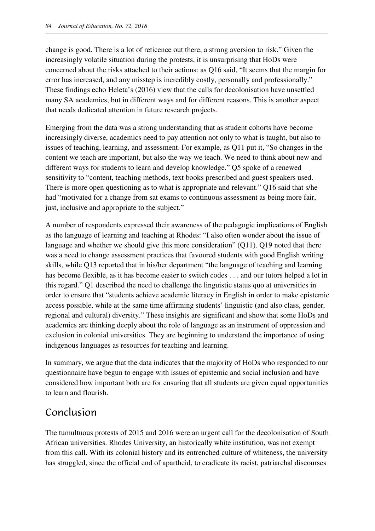change is good. There is a lot of reticence out there, a strong aversion to risk." Given the increasingly volatile situation during the protests, it is unsurprising that HoDs were concerned about the risks attached to their actions: as Q16 said, "It seems that the margin for error has increased, and any misstep is incredibly costly, personally and professionally." These findings echo Heleta's (2016) view that the calls for decolonisation have unsettled many SA academics, but in different ways and for different reasons. This is another aspect that needs dedicated attention in future research projects.

Emerging from the data was a strong understanding that as student cohorts have become increasingly diverse, academics need to pay attention not only to what is taught, but also to issues of teaching, learning, and assessment. For example, as Q11 put it, "So changes in the content we teach are important, but also the way we teach. We need to think about new and different ways for students to learn and develop knowledge." Q5 spoke of a renewed sensitivity to "content, teaching methods, text books prescribed and guest speakers used. There is more open questioning as to what is appropriate and relevant." Q16 said that s/he had "motivated for a change from sat exams to continuous assessment as being more fair, just, inclusive and appropriate to the subject."

A number of respondents expressed their awareness of the pedagogic implications of English as the language of learning and teaching at Rhodes: "I also often wonder about the issue of language and whether we should give this more consideration" (Q11). Q19 noted that there was a need to change assessment practices that favoured students with good English writing skills, while Q13 reported that in his/her department "the language of teaching and learning has become flexible, as it has become easier to switch codes . . . and our tutors helped a lot in this regard." Q1 described the need to challenge the linguistic status quo at universities in order to ensure that "students achieve academic literacy in English in order to make epistemic access possible, while at the same time affirming students' linguistic (and also class, gender, regional and cultural) diversity." These insights are significant and show that some HoDs and academics are thinking deeply about the role of language as an instrument of oppression and exclusion in colonial universities. They are beginning to understand the importance of using indigenous languages as resources for teaching and learning.

In summary, we argue that the data indicates that the majority of HoDs who responded to our questionnaire have begun to engage with issues of epistemic and social inclusion and have considered how important both are for ensuring that all students are given equal opportunities to learn and flourish.

## Conclusion

The tumultuous protests of 2015 and 2016 were an urgent call for the decolonisation of South African universities. Rhodes University, an historically white institution, was not exempt from this call. With its colonial history and its entrenched culture of whiteness, the university has struggled, since the official end of apartheid, to eradicate its racist, patriarchal discourses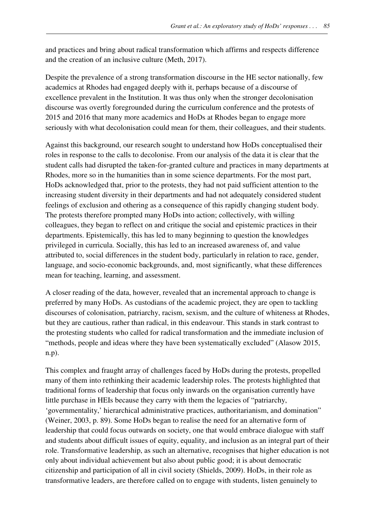and practices and bring about radical transformation which affirms and respects difference and the creation of an inclusive culture (Meth, 2017).

Despite the prevalence of a strong transformation discourse in the HE sector nationally, few academics at Rhodes had engaged deeply with it, perhaps because of a discourse of excellence prevalent in the Institution. It was thus only when the stronger decolonisation discourse was overtly foregrounded during the curriculum conference and the protests of 2015 and 2016 that many more academics and HoDs at Rhodes began to engage more seriously with what decolonisation could mean for them, their colleagues, and their students.

Against this background, our research sought to understand how HoDs conceptualised their roles in response to the calls to decolonise. From our analysis of the data it is clear that the student calls had disrupted the taken-for-granted culture and practices in many departments at Rhodes, more so in the humanities than in some science departments. For the most part, HoDs acknowledged that, prior to the protests, they had not paid sufficient attention to the increasing student diversity in their departments and had not adequately considered student feelings of exclusion and othering as a consequence of this rapidly changing student body. The protests therefore prompted many HoDs into action; collectively, with willing colleagues, they began to reflect on and critique the social and epistemic practices in their departments. Epistemically, this has led to many beginning to question the knowledges privileged in curricula. Socially, this has led to an increased awareness of, and value attributed to, social differences in the student body, particularly in relation to race, gender, language, and socio-economic backgrounds, and, most significantly, what these differences mean for teaching, learning, and assessment.

A closer reading of the data, however, revealed that an incremental approach to change is preferred by many HoDs. As custodians of the academic project, they are open to tackling discourses of colonisation, patriarchy, racism, sexism, and the culture of whiteness at Rhodes, but they are cautious, rather than radical, in this endeavour. This stands in stark contrast to the protesting students who called for radical transformation and the immediate inclusion of "methods, people and ideas where they have been systematically excluded" (Alasow 2015, n.p).

This complex and fraught array of challenges faced by HoDs during the protests, propelled many of them into rethinking their academic leadership roles. The protests highlighted that traditional forms of leadership that focus only inwards on the organisation currently have little purchase in HEIs because they carry with them the legacies of "patriarchy, 'governmentality,' hierarchical administrative practices, authoritarianism, and domination" (Weiner, 2003, p. 89). Some HoDs began to realise the need for an alternative form of leadership that could focus outwards on society, one that would embrace dialogue with staff and students about difficult issues of equity, equality, and inclusion as an integral part of their role. Transformative leadership, as such an alternative, recognises that higher education is not only about individual achievement but also about public good; it is about democratic citizenship and participation of all in civil society (Shields, 2009). HoDs, in their role as transformative leaders, are therefore called on to engage with students, listen genuinely to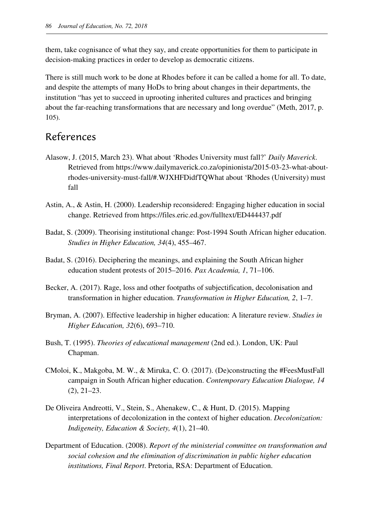them, take cognisance of what they say, and create opportunities for them to participate in decision-making practices in order to develop as democratic citizens.

There is still much work to be done at Rhodes before it can be called a home for all. To date, and despite the attempts of many HoDs to bring about changes in their departments, the institution "has yet to succeed in uprooting inherited cultures and practices and bringing about the far-reaching transformations that are necessary and long overdue" (Meth, 2017, p. 105).

### References

- Alasow, J. (2015, March 23). What about 'Rhodes University must fall?' *Daily Maverick*. Retrieved from https://www.dailymaverick.co.za/opinionista/2015-03-23-what-aboutrhodes-university-must-fall/#.WJXHFDidfTQWhat about 'Rhodes (University) must fall
- Astin, A., & Astin, H. (2000). Leadership reconsidered: Engaging higher education in social change. Retrieved from https://files.eric.ed.gov/fulltext/ED444437.pdf
- Badat, S. (2009). Theorising institutional change: Post-1994 South African higher education. *Studies in Higher Education, 34*(4), 455–467.
- Badat, S. (2016). Deciphering the meanings, and explaining the South African higher education student protests of 2015–2016. *Pax Academia, 1*, 71–106.
- Becker, A. (2017). Rage, loss and other footpaths of subjectification, decolonisation and transformation in higher education. *Transformation in Higher Education, 2*, 1–7.
- Bryman, A. (2007). Effective leadership in higher education: A literature review. *Studies in Higher Education, 32*(6), 693–710.
- Bush, T. (1995). *Theories of educational management* (2nd ed.). London, UK: Paul Chapman.
- CMoloi, K., Makgoba, M. W., & Miruka, C. O. (2017). (De)constructing the #FeesMustFall campaign in South African higher education. *Contemporary Education Dialogue, 14*  (2), 21–23.
- De Oliveira Andreotti, V., Stein, S., Ahenakew, C., & Hunt, D. (2015). Mapping interpretations of decolonization in the context of higher education. *Decolonization: Indigeneity, Education & Society, 4*(1), 21–40.
- Department of Education. (2008). *Report of the ministerial committee on transformation and social cohesion and the elimination of discrimination in public higher education institutions, Final Report*. Pretoria, RSA: Department of Education.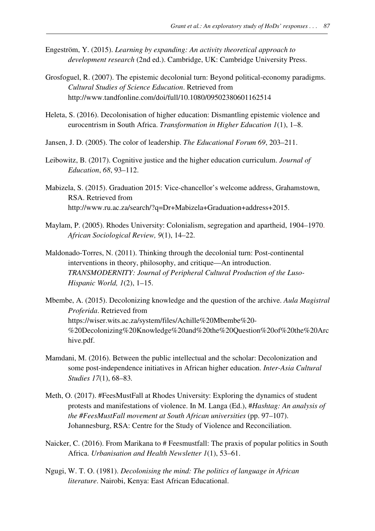- Engeström, Y. (2015). *Learning by expanding: An activity theoretical approach to development research* (2nd ed.). Cambridge, UK: Cambridge University Press.
- Grosfoguel, R. (2007). The epistemic decolonial turn: Beyond political-economy paradigms. *Cultural Studies of Science Education*. Retrieved from http://www.tandfonline.com/doi/full/10.1080/09502380601162514
- Heleta, S. (2016). Decolonisation of higher education: Dismantling epistemic violence and eurocentrism in South Africa. *Transformation in Higher Education 1*(1), 1–8.
- Jansen, J. D. (2005). The color of leadership. *The Educational Forum 69*, 203–211.
- Leibowitz, B. (2017). Cognitive justice and the higher education curriculum. *Journal of Education*, *68*, 93–112.
- Mabizela, S. (2015). Graduation 2015: Vice-chancellor's welcome address, Grahamstown, RSA. Retrieved from http://www.ru.ac.za/search/?q=Dr+Mabizela+Graduation+address+2015.
- Maylam, P. (2005). Rhodes University: Colonialism, segregation and apartheid, 1904–1970. *African Sociological Review, 9*(1), 14–22.
- Maldonado-Torres, N. (2011). Thinking through the decolonial turn: Post-continental interventions in theory, philosophy, and critique—An introduction. *TRANSMODERNITY: Journal of Peripheral Cultural Production of the Luso-Hispanic World, 1*(2), 1–15.
- Mbembe, A. (2015). Decolonizing knowledge and the question of the archive. *Aula Magistral Proferida*. Retrieved from https://wiser.wits.ac.za/system/files/Achille%20Mbembe%20- %20Decolonizing%20Knowledge%20and%20the%20Question%20of%20the%20Arc hive.pdf.
- Mamdani, M. (2016). Between the public intellectual and the scholar: Decolonization and some post-independence initiatives in African higher education. *Inter-Asia Cultural Studies 17*(1), 68–83*.*
- Meth, O. (2017). #FeesMustFall at Rhodes University: Exploring the dynamics of student protests and manifestations of violence. In M. Langa (Ed.), #*Hashtag: An analysis of the #FeesMustFall movement at South African universities* (pp. 97–107). Johannesburg, RSA: Centre for the Study of Violence and Reconciliation.
- Naicker, C. (2016). From Marikana to # Feesmustfall: The praxis of popular politics in South Africa. *Urbanisation and Health Newsletter 1*(1), 53–61.
- Ngugi, W. T. O. (1981). *Decolonising the mind: The politics of language in African literature*. Nairobi, Kenya: East African Educational.